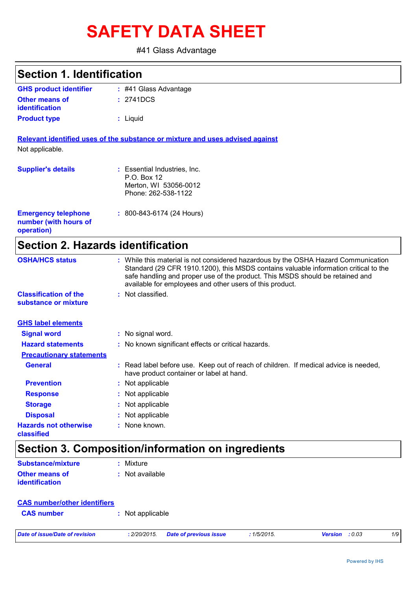# **SAFETY DATA SHEET**

#41 Glass Advantage

### **Section 1. Identification**

| <b>GHS product identifier</b> | $\div$ #41 Glass Advantage |
|-------------------------------|----------------------------|
| <b>Other means of</b>         | : 2741DCS                  |
| <u>identification</u>         |                            |
| <b>Product type</b>           | : Liguid                   |

**Relevant identified uses of the substance or mixture and uses advised against** Not applicable.

| <b>Supplier's details</b>                                         | : Essential Industries, Inc.<br>P.O. Box 12<br>Merton, WI 53056-0012<br>Phone: 262-538-1122 |
|-------------------------------------------------------------------|---------------------------------------------------------------------------------------------|
| <b>Emergency telephone</b><br>number (with hours of<br>operation) | $: 800 - 843 - 6174$ (24 Hours)                                                             |

# **Section 2. Hazards identification**

| <b>OSHA/HCS status</b>                               | : While this material is not considered hazardous by the OSHA Hazard Communication<br>Standard (29 CFR 1910.1200), this MSDS contains valuable information critical to the<br>safe handling and proper use of the product. This MSDS should be retained and<br>available for employees and other users of this product. |
|------------------------------------------------------|-------------------------------------------------------------------------------------------------------------------------------------------------------------------------------------------------------------------------------------------------------------------------------------------------------------------------|
| <b>Classification of the</b><br>substance or mixture | : Not classified.                                                                                                                                                                                                                                                                                                       |
| <b>GHS label elements</b>                            |                                                                                                                                                                                                                                                                                                                         |
| <b>Signal word</b>                                   | : No signal word.                                                                                                                                                                                                                                                                                                       |
| <b>Hazard statements</b>                             | : No known significant effects or critical hazards.                                                                                                                                                                                                                                                                     |
| <b>Precautionary statements</b>                      |                                                                                                                                                                                                                                                                                                                         |
| <b>General</b>                                       | : Read label before use. Keep out of reach of children. If medical advice is needed,<br>have product container or label at hand.                                                                                                                                                                                        |
| <b>Prevention</b>                                    | : Not applicable                                                                                                                                                                                                                                                                                                        |
| <b>Response</b>                                      | : Not applicable                                                                                                                                                                                                                                                                                                        |
| <b>Storage</b>                                       | : Not applicable                                                                                                                                                                                                                                                                                                        |
| <b>Disposal</b>                                      | : Not applicable                                                                                                                                                                                                                                                                                                        |
| <b>Hazards not otherwise</b><br>classified           | : None known.                                                                                                                                                                                                                                                                                                           |

# **Section 3. Composition/information on ingredients**

| <b>Substance/mixture</b> | : Mixture         |
|--------------------------|-------------------|
| <b>Other means of</b>    | $:$ Not available |
| <b>identification</b>    |                   |

| <b>CAS number/other identifiers</b> |                                        |            |                          |     |
|-------------------------------------|----------------------------------------|------------|--------------------------|-----|
| <b>CAS number</b>                   | Not applicable                         |            |                          |     |
| Date of issue/Date of revision      | Date of previous issue<br>: 2/20/2015. | :1/5/2015. | <b>Version</b><br>: 0.03 | 1/9 |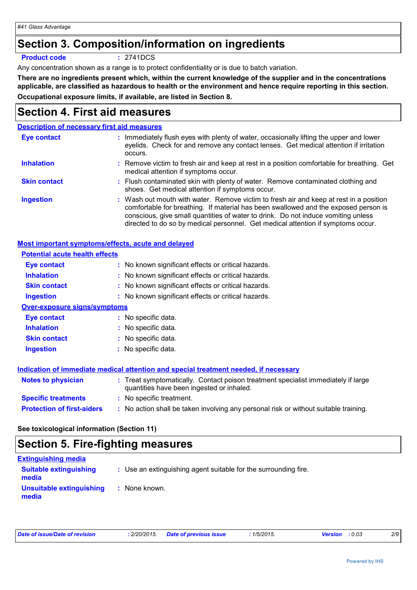# **Section 3. Composition/information on ingredients**

#### **Product code :** 2741DCS

Any concentration shown as a range is to protect confidentiality or is due to batch variation.

**There are no ingredients present which, within the current knowledge of the supplier and in the concentrations applicable, are classified as hazardous to health or the environment and hence require reporting in this section. Occupational exposure limits, if available, are listed in Section 8.**

# **Section 4. First aid measures**

### **Description of necessary first aid measures**

| <b>Eye contact</b>  | : Immediately flush eyes with plenty of water, occasionally lifting the upper and lower<br>eyelids. Check for and remove any contact lenses. Get medical attention if irritation<br>occurs.                                                                                                                                                            |
|---------------------|--------------------------------------------------------------------------------------------------------------------------------------------------------------------------------------------------------------------------------------------------------------------------------------------------------------------------------------------------------|
| <b>Inhalation</b>   | : Remove victim to fresh air and keep at rest in a position comfortable for breathing. Get<br>medical attention if symptoms occur.                                                                                                                                                                                                                     |
| <b>Skin contact</b> | : Flush contaminated skin with plenty of water. Remove contaminated clothing and<br>shoes. Get medical attention if symptoms occur.                                                                                                                                                                                                                    |
| <b>Ingestion</b>    | : Wash out mouth with water. Remove victim to fresh air and keep at rest in a position<br>comfortable for breathing. If material has been swallowed and the exposed person is<br>conscious, give small quantities of water to drink. Do not induce vomiting unless<br>directed to do so by medical personnel. Get medical attention if symptoms occur. |

### **Most important symptoms/effects, acute and delayed**

| <b>Potential acute health effects</b> |                                                                                                                                |  |
|---------------------------------------|--------------------------------------------------------------------------------------------------------------------------------|--|
| Eye contact                           | : No known significant effects or critical hazards.                                                                            |  |
| <b>Inhalation</b>                     | : No known significant effects or critical hazards.                                                                            |  |
| <b>Skin contact</b>                   | : No known significant effects or critical hazards.                                                                            |  |
| Ingestion                             | : No known significant effects or critical hazards.                                                                            |  |
| <b>Over-exposure signs/symptoms</b>   |                                                                                                                                |  |
| Eye contact                           | : No specific data.                                                                                                            |  |
| <b>Inhalation</b>                     | : No specific data.                                                                                                            |  |
| <b>Skin contact</b>                   | : No specific data.                                                                                                            |  |
| <b>Ingestion</b>                      | : No specific data.                                                                                                            |  |
|                                       |                                                                                                                                |  |
|                                       | Indication of immediate medical attention and special treatment needed, if necessary                                           |  |
| <b>Notes to physician</b>             | : Treat symptomatically. Contact poison treatment specialist immediately if large<br>quantities have been ingested or inhaled. |  |
| <b>Specific treatments</b>            | : No specific treatment.                                                                                                       |  |
| <b>Protection of first-aiders</b>     | : No action shall be taken involving any personal risk or without suitable training.                                           |  |
|                                       |                                                                                                                                |  |

**See toxicological information (Section 11)**

# **Section 5. Fire-fighting measures**

| <b>Extinguishing media</b>             |                                                                 |
|----------------------------------------|-----------------------------------------------------------------|
| <b>Suitable extinguishing</b><br>media | : Use an extinguishing agent suitable for the surrounding fire. |
| Unsuitable extinguishing<br>media      | : None known.                                                   |

| Date of issue/Date of revision | : 2/20/2015. | <b>Date of previous issue</b> | 1/5/2015. | <b>Version</b> : 0.03 | 2/9 |
|--------------------------------|--------------|-------------------------------|-----------|-----------------------|-----|
|                                |              |                               |           |                       |     |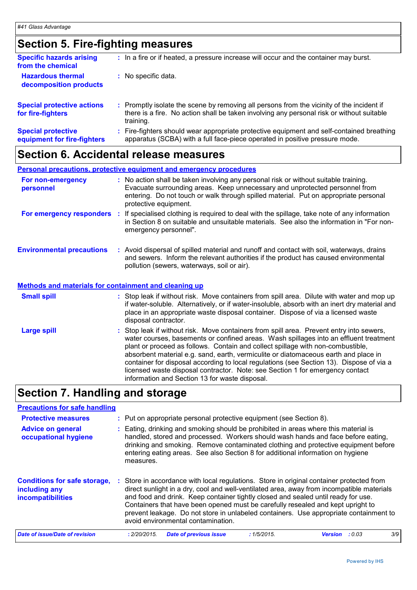# **Section 5. Fire-fighting measures**

| <b>Specific hazards arising</b><br>from the chemical     |    | : In a fire or if heated, a pressure increase will occur and the container may burst.                                                                                                               |
|----------------------------------------------------------|----|-----------------------------------------------------------------------------------------------------------------------------------------------------------------------------------------------------|
| <b>Hazardous thermal</b><br>decomposition products       |    | : No specific data.                                                                                                                                                                                 |
| <b>Special protective actions</b><br>for fire-fighters   |    | : Promptly isolate the scene by removing all persons from the vicinity of the incident if<br>there is a fire. No action shall be taken involving any personal risk or without suitable<br>training. |
| <b>Special protective</b><br>equipment for fire-fighters | ÷. | Fire-fighters should wear appropriate protective equipment and self-contained breathing<br>apparatus (SCBA) with a full face-piece operated in positive pressure mode.                              |

### **Section 6. Accidental release measures**

|                                                       | <b>Personal precautions, protective equipment and emergency procedures</b>                                                                                                                                                                                                                               |
|-------------------------------------------------------|----------------------------------------------------------------------------------------------------------------------------------------------------------------------------------------------------------------------------------------------------------------------------------------------------------|
| For non-emergency<br>personnel                        | : No action shall be taken involving any personal risk or without suitable training.<br>Evacuate surrounding areas. Keep unnecessary and unprotected personnel from<br>entering. Do not touch or walk through spilled material. Put on appropriate personal<br>protective equipment.                     |
| For emergency responders :                            | If specialised clothing is required to deal with the spillage, take note of any information<br>in Section 8 on suitable and unsuitable materials. See also the information in "For non-<br>emergency personnel".                                                                                         |
| <b>Environmental precautions</b>                      | : Avoid dispersal of spilled material and runoff and contact with soil, waterways, drains<br>and sewers. Inform the relevant authorities if the product has caused environmental<br>pollution (sewers, waterways, soil or air).                                                                          |
| Methods and materials for containment and cleaning up |                                                                                                                                                                                                                                                                                                          |
| <b>Small spill</b>                                    | : Stop leak if without risk. Move containers from spill area. Dilute with water and mop up<br>if water-soluble. Alternatively, or if water-insoluble, absorb with an inert dry material and<br>place in an appropriate waste disposal container. Dispose of via a licensed waste<br>disposal contractor. |
| Large spill                                           | : Stop leak if without risk. Move containers from spill area. Prevent entry into sewers,<br>water courses, basements or confined areas. Wash spillages into an effluent treatment<br>plant or proceed as follows. Contain and collect spillage with non-combustible,                                     |

absorbent material e.g. sand, earth, vermiculite or diatomaceous earth and place in container for disposal according to local regulations (see Section 13). Dispose of via a licensed waste disposal contractor. Note: see Section 1 for emergency contact

# **Section 7. Handling and storage**

### **Precautions for safe handling**

| <b>Protective measures</b>                                                       |                                                                                                                                                                                                                                                                                                                                                               | : Put on appropriate personal protective equipment (see Section 8).                                                                                                                                                                                                                                                                                                                                                                                                                        |  |           |                |        |     |
|----------------------------------------------------------------------------------|---------------------------------------------------------------------------------------------------------------------------------------------------------------------------------------------------------------------------------------------------------------------------------------------------------------------------------------------------------------|--------------------------------------------------------------------------------------------------------------------------------------------------------------------------------------------------------------------------------------------------------------------------------------------------------------------------------------------------------------------------------------------------------------------------------------------------------------------------------------------|--|-----------|----------------|--------|-----|
| <b>Advice on general</b><br>occupational hygiene                                 | : Eating, drinking and smoking should be prohibited in areas where this material is<br>handled, stored and processed. Workers should wash hands and face before eating,<br>drinking and smoking. Remove contaminated clothing and protective equipment before<br>entering eating areas. See also Section 8 for additional information on hygiene<br>measures. |                                                                                                                                                                                                                                                                                                                                                                                                                                                                                            |  |           |                |        |     |
| <b>Conditions for safe storage,</b><br>including any<br><b>incompatibilities</b> |                                                                                                                                                                                                                                                                                                                                                               | Store in accordance with local regulations. Store in original container protected from<br>direct sunlight in a dry, cool and well-ventilated area, away from incompatible materials<br>and food and drink. Keep container tightly closed and sealed until ready for use.<br>Containers that have been opened must be carefully resealed and kept upright to<br>prevent leakage. Do not store in unlabeled containers. Use appropriate containment to<br>avoid environmental contamination. |  |           |                |        |     |
| Date of issue/Date of revision                                                   |                                                                                                                                                                                                                                                                                                                                                               | <b>Date of previous issue</b><br>: 2/20/2015.                                                                                                                                                                                                                                                                                                                                                                                                                                              |  | :1/5/2015 | <b>Version</b> | : 0.03 | 3/9 |

information and Section 13 for waste disposal.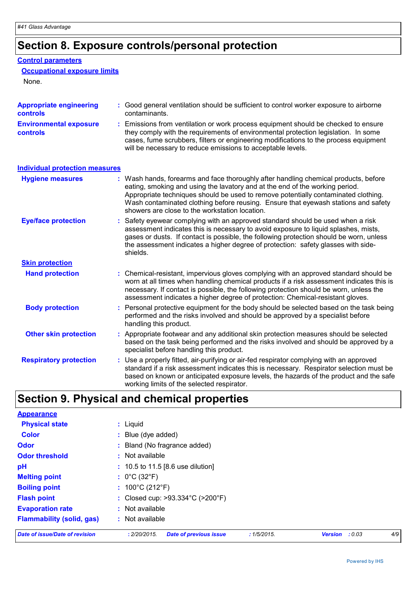# **Section 8. Exposure controls/personal protection**

### **Control parameters**

### **Occupational exposure limits**

None.

| <b>Appropriate engineering</b><br><b>controls</b> |    | : Good general ventilation should be sufficient to control worker exposure to airborne<br>contaminants.                                                                                                                                                                                                                                                                                           |
|---------------------------------------------------|----|---------------------------------------------------------------------------------------------------------------------------------------------------------------------------------------------------------------------------------------------------------------------------------------------------------------------------------------------------------------------------------------------------|
| <b>Environmental exposure</b><br><b>controls</b>  |    | : Emissions from ventilation or work process equipment should be checked to ensure<br>they comply with the requirements of environmental protection legislation. In some<br>cases, fume scrubbers, filters or engineering modifications to the process equipment<br>will be necessary to reduce emissions to acceptable levels.                                                                   |
| <b>Individual protection measures</b>             |    |                                                                                                                                                                                                                                                                                                                                                                                                   |
| <b>Hygiene measures</b>                           |    | : Wash hands, forearms and face thoroughly after handling chemical products, before<br>eating, smoking and using the lavatory and at the end of the working period.<br>Appropriate techniques should be used to remove potentially contaminated clothing.<br>Wash contaminated clothing before reusing. Ensure that eyewash stations and safety<br>showers are close to the workstation location. |
| <b>Eye/face protection</b>                        | ÷. | Safety eyewear complying with an approved standard should be used when a risk<br>assessment indicates this is necessary to avoid exposure to liquid splashes, mists,<br>gases or dusts. If contact is possible, the following protection should be worn, unless<br>the assessment indicates a higher degree of protection: safety glasses with side-<br>shields.                                  |
| <b>Skin protection</b>                            |    |                                                                                                                                                                                                                                                                                                                                                                                                   |
| <b>Hand protection</b>                            |    | : Chemical-resistant, impervious gloves complying with an approved standard should be<br>worn at all times when handling chemical products if a risk assessment indicates this is<br>necessary. If contact is possible, the following protection should be worn, unless the<br>assessment indicates a higher degree of protection: Chemical-resistant gloves.                                     |
| <b>Body protection</b>                            |    | : Personal protective equipment for the body should be selected based on the task being<br>performed and the risks involved and should be approved by a specialist before<br>handling this product.                                                                                                                                                                                               |
| <b>Other skin protection</b>                      |    | : Appropriate footwear and any additional skin protection measures should be selected<br>based on the task being performed and the risks involved and should be approved by a<br>specialist before handling this product.                                                                                                                                                                         |
| <b>Respiratory protection</b>                     |    | : Use a properly fitted, air-purifying or air-fed respirator complying with an approved<br>standard if a risk assessment indicates this is necessary. Respirator selection must be<br>based on known or anticipated exposure levels, the hazards of the product and the safe<br>working limits of the selected respirator.                                                                        |

# **Section 9. Physical and chemical properties**

| <b>Appearance</b>                |                                                                               |        |     |
|----------------------------------|-------------------------------------------------------------------------------|--------|-----|
| <b>Physical state</b>            | $:$ Liquid                                                                    |        |     |
| <b>Color</b>                     | : Blue (dye added)                                                            |        |     |
| <b>Odor</b>                      | : Bland (No fragrance added)                                                  |        |     |
| <b>Odor threshold</b>            | $:$ Not available                                                             |        |     |
| pH                               | $: 10.5$ to 11.5 [8.6 use dilution]                                           |        |     |
| <b>Melting point</b>             | : $0^{\circ}$ C (32 $^{\circ}$ F)                                             |        |     |
| <b>Boiling point</b>             | : $100^{\circ}$ C (212 $^{\circ}$ F)                                          |        |     |
| <b>Flash point</b>               | : Closed cup: $>93.334^{\circ}$ C ( $>200^{\circ}$ F)                         |        |     |
| <b>Evaporation rate</b>          | : Not available                                                               |        |     |
| <b>Flammability (solid, gas)</b> | : Not available                                                               |        |     |
| Date of issue/Date of revision   | : 2/20/2015.<br><b>Date of previous issue</b><br>:1/5/2015.<br><b>Version</b> | : 0.03 | 4/9 |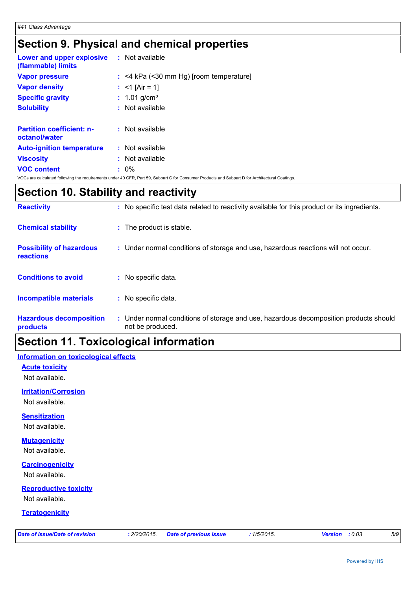# **Section 9. Physical and chemical properties**

| <b>Lower and upper explosive : Not available</b><br>(flammable) limits |                                           |
|------------------------------------------------------------------------|-------------------------------------------|
| <b>Vapor pressure</b>                                                  | $:$ <4 kPa (<30 mm Hg) [room temperature] |
| <b>Vapor density</b>                                                   | : $<$ 1 [Air = 1]                         |
| <b>Specific gravity</b>                                                | : $1.01$ g/cm <sup>3</sup>                |
| <b>Solubility</b>                                                      | $:$ Not available                         |
| <b>Partition coefficient: n-</b><br>octanol/water                      | $:$ Not available                         |
| <b>Auto-ignition temperature</b>                                       | $:$ Not available                         |
| <b>Viscosity</b>                                                       | $:$ Not available                         |
| <b>VOC content</b>                                                     | $: 0\%$                                   |

VOCs are calculated following the requirements under 40 CFR, Part 59, Subpart C for Consumer Products and Subpart D for Architectural Coatings.

### **Section 10. Stability and reactivity**

| <b>Reactivity</b>                                   | : No specific test data related to reactivity available for this product or its ingredients.            |
|-----------------------------------------------------|---------------------------------------------------------------------------------------------------------|
| <b>Chemical stability</b>                           | : The product is stable.                                                                                |
| <b>Possibility of hazardous</b><br><b>reactions</b> | : Under normal conditions of storage and use, hazardous reactions will not occur.                       |
| <b>Conditions to avoid</b>                          | : No specific data.                                                                                     |
| <b>Incompatible materials</b>                       | : No specific data.                                                                                     |
| <b>Hazardous decomposition</b><br>products          | Under normal conditions of storage and use, hazardous decomposition products should<br>not be produced. |

### **Section 11. Toxicological information**

### **Information on toxicological effects**

**Acute toxicity**

Not available.

#### **Irritation/Corrosion**

Not available.

### **Sensitization**

Not available.

#### **Mutagenicity**

Not available.

### **Carcinogenicity**

Not available.

### **Reproductive toxicity**

Not available.

#### **Teratogenicity**

| Date of issue/Date of revision |  |  |  |
|--------------------------------|--|--|--|
|                                |  |  |  |

*Date of issue/Date of revision* **:** *2/20/2015. Date of previous issue : 1/5/2015. Version : 0.03 5/9*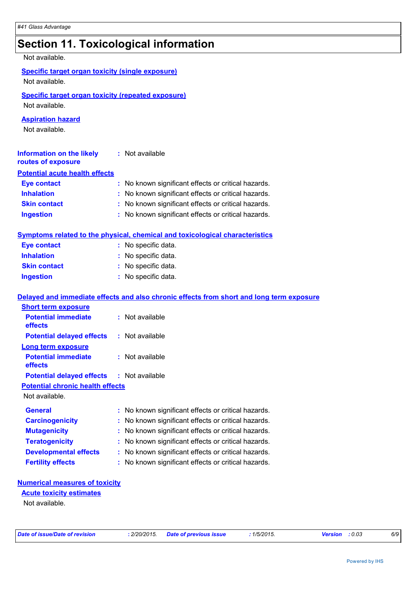# **Section 11. Toxicological information**

Not available.

| <b>Specific target organ toxicity (repeated exposure)</b><br>Not available. |                                                                                                               |  |
|-----------------------------------------------------------------------------|---------------------------------------------------------------------------------------------------------------|--|
| <b>Aspiration hazard</b><br>Not available.                                  |                                                                                                               |  |
| <b>Information on the likely</b><br>routes of exposure                      | : Not available                                                                                               |  |
| <b>Potential acute health effects</b>                                       |                                                                                                               |  |
| <b>Eye contact</b>                                                          | : No known significant effects or critical hazards.                                                           |  |
| <b>Inhalation</b>                                                           | : No known significant effects or critical hazards.                                                           |  |
| <b>Skin contact</b>                                                         | : No known significant effects or critical hazards.                                                           |  |
| <b>Ingestion</b>                                                            | : No known significant effects or critical hazards.                                                           |  |
|                                                                             | Symptoms related to the physical, chemical and toxicological characteristics                                  |  |
| <b>Eye contact</b>                                                          | : No specific data.                                                                                           |  |
| <b>Inhalation</b>                                                           |                                                                                                               |  |
|                                                                             | No specific data.                                                                                             |  |
| <b>Skin contact</b>                                                         | No specific data.                                                                                             |  |
| <b>Ingestion</b>                                                            | : No specific data.                                                                                           |  |
| <b>Short term exposure</b><br><b>Potential immediate</b><br>effects         | Delayed and immediate effects and also chronic effects from short and long term exposure<br>$:$ Not available |  |
| <b>Potential delayed effects</b>                                            | : Not available                                                                                               |  |
| <b>Long term exposure</b><br><b>Potential immediate</b><br>effects          | : Not available                                                                                               |  |
| <b>Potential delayed effects</b>                                            | : Not available                                                                                               |  |
| <b>Potential chronic health effects</b><br>Not available.                   |                                                                                                               |  |
| <b>General</b>                                                              | : No known significant effects or critical hazards.                                                           |  |
| <b>Carcinogenicity</b>                                                      | No known significant effects or critical hazards.<br>÷                                                        |  |
| <b>Mutagenicity</b>                                                         | No known significant effects or critical hazards.                                                             |  |
| <b>Teratogenicity</b>                                                       | No known significant effects or critical hazards.                                                             |  |
| <b>Developmental effects</b>                                                | No known significant effects or critical hazards.                                                             |  |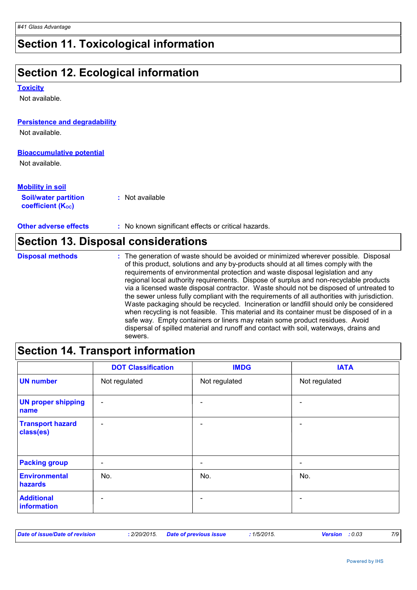# **Section 11. Toxicological information**

# **Section 12. Ecological information**

#### **Toxicity**

Not available.

#### **Persistence and degradability**

Not available.

### **Bioaccumulative potential**

Not available.

### **Mobility in soil**

| <b>Soil/water partition</b>    | : Not available |
|--------------------------------|-----------------|
| coefficient (K <sub>oc</sub> ) |                 |

### **Other adverse effects** : No known significant effects or critical hazards.

|                         | Section 13. Disposal considerations                                                                                                                                                                                                                                                                                                                                                                                                                                                                                                                                                                                                                                                                                                                                                                                                                                                                                        |
|-------------------------|----------------------------------------------------------------------------------------------------------------------------------------------------------------------------------------------------------------------------------------------------------------------------------------------------------------------------------------------------------------------------------------------------------------------------------------------------------------------------------------------------------------------------------------------------------------------------------------------------------------------------------------------------------------------------------------------------------------------------------------------------------------------------------------------------------------------------------------------------------------------------------------------------------------------------|
| <b>Disposal methods</b> | : The generation of waste should be avoided or minimized wherever possible. Disposal<br>of this product, solutions and any by-products should at all times comply with the<br>requirements of environmental protection and waste disposal legislation and any<br>regional local authority requirements. Dispose of surplus and non-recyclable products<br>via a licensed waste disposal contractor. Waste should not be disposed of untreated to<br>the sewer unless fully compliant with the requirements of all authorities with jurisdiction.<br>Waste packaging should be recycled. Incineration or landfill should only be considered<br>when recycling is not feasible. This material and its container must be disposed of in a<br>safe way. Empty containers or liners may retain some product residues. Avoid<br>dispersal of spilled material and runoff and contact with soil, waterways, drains and<br>sewers. |

### **Section 14. Transport information**

|                                      | <b>DOT Classification</b> | <b>IMDG</b>              | <b>IATA</b>   |
|--------------------------------------|---------------------------|--------------------------|---------------|
| <b>UN number</b>                     | Not regulated             | Not regulated            | Not regulated |
| <b>UN proper shipping</b><br>name    | $\overline{\phantom{a}}$  |                          |               |
| <b>Transport hazard</b><br>class(es) | $\overline{\phantom{a}}$  |                          | ۰             |
| <b>Packing group</b>                 | $\overline{\phantom{a}}$  | ٠                        | -             |
| <b>Environmental</b><br>hazards      | No.                       | No.                      | No.           |
| <b>Additional</b><br>information     | $\overline{\phantom{0}}$  | $\overline{\phantom{0}}$ | ۰             |

| Date of issue/Date of revision<br>: 2/20/2015 Date of previous issue<br>$1/5/2015$ .<br><b>Version</b> : 0.03 |  |  |  |  |  |  |
|---------------------------------------------------------------------------------------------------------------|--|--|--|--|--|--|
|---------------------------------------------------------------------------------------------------------------|--|--|--|--|--|--|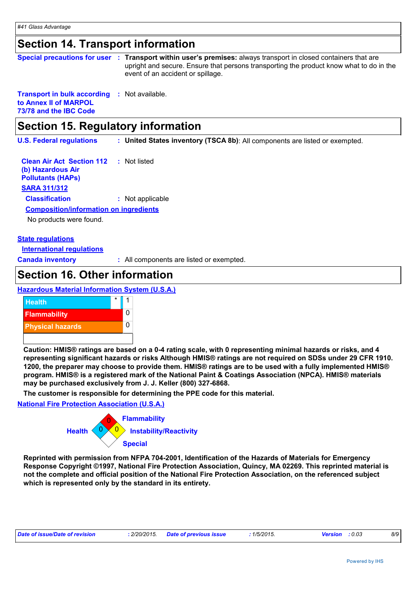### **Section 14. Transport information**

|                                                                                       |    | Special precautions for user : Transport within user's premises: always transport in closed containers that are<br>upright and secure. Ensure that persons transporting the product know what to do in the<br>event of an accident or spillage. |
|---------------------------------------------------------------------------------------|----|-------------------------------------------------------------------------------------------------------------------------------------------------------------------------------------------------------------------------------------------------|
| <b>Transport in bulk according</b><br>to Annex II of MARPOL<br>73/78 and the IBC Code |    | : Not available.                                                                                                                                                                                                                                |
| Section 15. Regulatory information                                                    |    |                                                                                                                                                                                                                                                 |
| <b>U.S. Federal regulations</b>                                                       |    | : United States inventory (TSCA 8b): All components are listed or exempted.                                                                                                                                                                     |
| <b>Clean Air Act Section 112</b><br>(b) Hazardous Air<br><b>Pollutants (HAPS)</b>     | ÷. | Not listed                                                                                                                                                                                                                                      |

#### **SARA 311/312**

**Classification :** Not applicable

#### **Composition/information on ingredients**

No products were found.

#### **State regulations**

**International regulations**

**Canada inventory :** All components are listed or exempted.

### **Section 16. Other information**

### **Hazardous Material Information System (U.S.A.)**



**Caution: HMIS® ratings are based on a 0-4 rating scale, with 0 representing minimal hazards or risks, and 4 representing significant hazards or risks Although HMIS® ratings are not required on SDSs under 29 CFR 1910. 1200, the preparer may choose to provide them. HMIS® ratings are to be used with a fully implemented HMIS® program. HMIS® is a registered mark of the National Paint & Coatings Association (NPCA). HMIS® materials may be purchased exclusively from J. J. Keller (800) 327-6868.**

**The customer is responsible for determining the PPE code for this material.**

#### **National Fire Protection Association (U.S.A.)**



**Reprinted with permission from NFPA 704-2001, Identification of the Hazards of Materials for Emergency Response Copyright ©1997, National Fire Protection Association, Quincy, MA 02269. This reprinted material is not the complete and official position of the National Fire Protection Association, on the referenced subject which is represented only by the standard in its entirety.**

| Date of issue/Date of revision | : 2/20/2015 Date of previous issue | 1/5/2015. | <b>Version</b> : 0.03 |  | 8/9 |
|--------------------------------|------------------------------------|-----------|-----------------------|--|-----|
|--------------------------------|------------------------------------|-----------|-----------------------|--|-----|